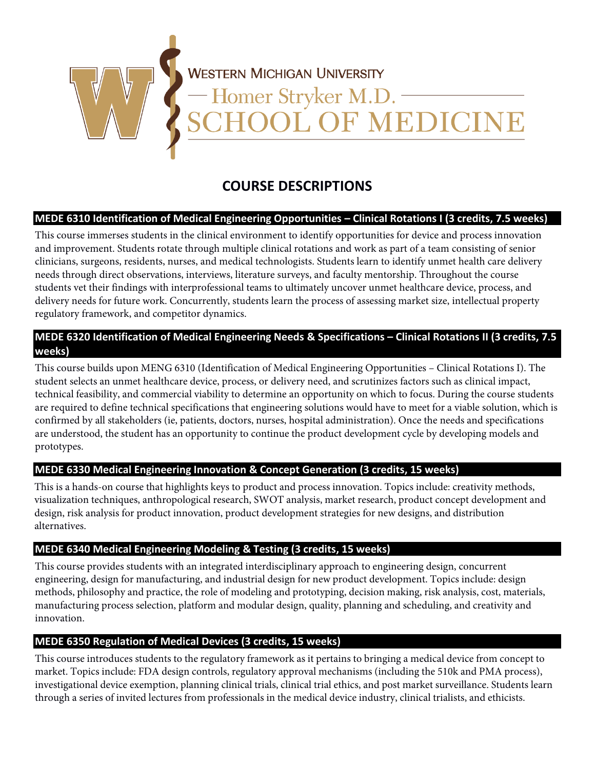

# **COURSE DESCRIPTIONS**

# **MEDE 6310 Identification of Medical Engineering Opportunities – Clinical Rotations I (3 credits, 7.5 weeks)**

This course immerses students in the clinical environment to identify opportunities for device and process innovation and improvement. Students rotate through multiple clinical rotations and work as part of a team consisting of senior clinicians, surgeons, residents, nurses, and medical technologists. Students learn to identify unmet health care delivery needs through direct observations, interviews, literature surveys, and faculty mentorship. Throughout the course students vet their findings with interprofessional teams to ultimately uncover unmet healthcare device, process, and delivery needs for future work. Concurrently, students learn the process of assessing market size, intellectual property regulatory framework, and competitor dynamics.

# **MEDE 6320 Identification of Medical Engineering Needs & Specifications – Clinical Rotations II (3 credits, 7.5 weeks)**

This course builds upon MENG 6310 (Identification of Medical Engineering Opportunities – Clinical Rotations I). The student selects an unmet healthcare device, process, or delivery need, and scrutinizes factors such as clinical impact, technical feasibility, and commercial viability to determine an opportunity on which to focus. During the course students are required to define technical specifications that engineering solutions would have to meet for a viable solution, which is confirmed by all stakeholders (ie, patients, doctors, nurses, hospital administration). Once the needs and specifications are understood, the student has an opportunity to continue the product development cycle by developing models and prototypes.

## **MEDE 6330 Medical Engineering Innovation & Concept Generation (3 credits, 15 weeks)**

This is a hands-on course that highlights keys to product and process innovation. Topics include: creativity methods, visualization techniques, anthropological research, SWOT analysis, market research, product concept development and design, risk analysis for product innovation, product development strategies for new designs, and distribution alternatives.

## **MEDE 6340 Medical Engineering Modeling & Testing (3 credits, 15 weeks)**

This course provides students with an integrated interdisciplinary approach to engineering design, concurrent engineering, design for manufacturing, and industrial design for new product development. Topics include: design methods, philosophy and practice, the role of modeling and prototyping, decision making, risk analysis, cost, materials, manufacturing process selection, platform and modular design, quality, planning and scheduling, and creativity and innovation.

# **MEDE 6350 Regulation of Medical Devices (3 credits, 15 weeks)**

This course introduces students to the regulatory framework as it pertains to bringing a medical device from concept to market. Topics include: FDA design controls, regulatory approval mechanisms (including the 510k and PMA process), investigational device exemption, planning clinical trials, clinical trial ethics, and post market surveillance. Students learn through a series of invited lectures from professionals in the medical device industry, clinical trialists, and ethicists.